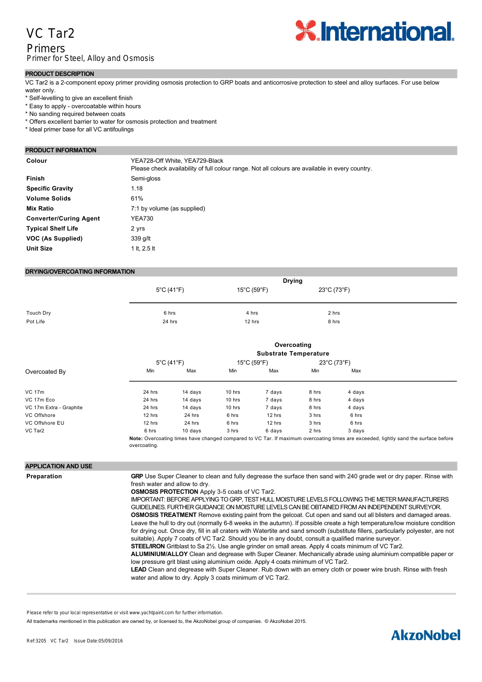## VC Tar2

## Primers Primer for Steel, Alloy and Osmosis



#### **PRODUCT DESCRIPTION**

VC Tar2 is a 2component epoxy primer providing osmosis protection to GRP boats and anticorrosive protection to steel and alloy surfaces. For use below water only.

- \* Self-levelling to give an excellent finish
- \* Easy to apply overcoatable within hours
- \* No sanding required between coats
- \* Offers excellent barrier to water for osmosis protection and treatment
- \* Ideal primer base for all VC antifoulings

#### **PRODUCT INFORMATION**

**Colour Colour YEA728-Off White, YEA729-Black** 

|                               | Please check availability of full colour range. Not all colours are available in every country. |  |  |  |  |
|-------------------------------|-------------------------------------------------------------------------------------------------|--|--|--|--|
| <b>Finish</b>                 | Semi-gloss                                                                                      |  |  |  |  |
| <b>Specific Gravity</b>       | 1.18                                                                                            |  |  |  |  |
| <b>Volume Solids</b>          | 61%                                                                                             |  |  |  |  |
| <b>Mix Ratio</b>              | 7:1 by volume (as supplied)                                                                     |  |  |  |  |
| <b>Converter/Curing Agent</b> | <b>YEA730</b>                                                                                   |  |  |  |  |
| <b>Typical Shelf Life</b>     | 2 yrs                                                                                           |  |  |  |  |
| VOC (As Supplied)             | 339 g/lt                                                                                        |  |  |  |  |
| <b>Unit Size</b>              | 1 lt, 2.5 lt                                                                                    |  |  |  |  |
|                               |                                                                                                 |  |  |  |  |

#### **DRYING/OVERCOATING INFORMATION**

|           | <b>Drying</b>                   |             |             |  |
|-----------|---------------------------------|-------------|-------------|--|
|           | $5^{\circ}$ C (41 $^{\circ}$ F) | 15°C (59°F) | 23°C (73°F) |  |
|           |                                 |             |             |  |
|           |                                 |             |             |  |
| Touch Dry | 6 hrs                           | 4 hrs       | 2 hrs       |  |
| Pot Life  | 24 hrs                          | 12 hrs      | 8 hrs       |  |

|                         | Overcoating<br><b>Substrate Temperature</b> |            |        |                                  |       |             |                                                                                                                                     |
|-------------------------|---------------------------------------------|------------|--------|----------------------------------|-------|-------------|-------------------------------------------------------------------------------------------------------------------------------------|
|                         |                                             | 5°C (41°F) |        | $15^{\circ}$ C (59 $^{\circ}$ F) |       | 23°C (73°F) |                                                                                                                                     |
| Overcoated By           | Min                                         | Max        | Min    | Max                              | Min   | Max         |                                                                                                                                     |
| <b>VC 17m</b>           | 24 hrs                                      | 14 days    | 10 hrs | 7 days                           | 8 hrs | 4 days      |                                                                                                                                     |
| VC 17m Eco              | 24 hrs                                      | 14 days    | 10 hrs | 7 days                           | 8 hrs | 4 days      |                                                                                                                                     |
| VC 17m Extra - Graphite | 24 hrs                                      | 14 days    | 10 hrs | 7 days                           | 8 hrs | 4 days      |                                                                                                                                     |
| VC Offshore             | 12 hrs                                      | 24 hrs     | 6 hrs  | 12 hrs                           | 3 hrs | 6 hrs       |                                                                                                                                     |
| VC Offshore EU          | 12 hrs                                      | 24 hrs     | 6 hrs  | 12 hrs                           | 3 hrs | 6 hrs       |                                                                                                                                     |
| VC Tar2                 | 6 hrs                                       | 10 days    | 3 hrs  | 6 days                           | 2 hrs | 3 days      |                                                                                                                                     |
|                         |                                             |            |        |                                  |       |             | Note: Overcoating times have changed compared to VC Tar. If maximum overcoating times are exceeded, lightly sand the surface before |

overcoating.

minimum of 15 mins for the air bubbles to disperse. VC General Thinner may be used (up to 5%) to aid application

#### **APPLICATION AND USE**

**Preparation GRP** Use Super Cleaner to clean and fully degrease the surface then sand with 240 grade wet or dry paper. Rinse with fresh water and allow to dry. **OSMOSIS PROTECTION** Apply 3-5 coats of VC Tar2. IMPORTANT: BEFORE APPLYING TO GRP, TEST HULL MOISTURE LEVELS FOLLOWING THE METER MANUFACTURERS GUIDELINES. FURTHER GUIDANCE ON MOISTURE LEVELS CAN BE OBTAINED FROM AN INDEPENDENT SURVEYOR. **OSMOSIS TREATMENT** Remove existing paint from the gelcoat. Cut open and sand out all blisters and damaged areas. Leave the hull to dry out (normally 6-8 weeks in the autumn). If possible create a high temperature/low moisture condition for drying out. Once dry, fill in all craters with Watertite and sand smooth (substitute fillers, particularly polyester, are not suitable). Apply 7 coats of VC Tar2. Should you be in any doubt, consult a qualified marine surveyor. **STEEL/IRON** Gritblast to Sa 2½. Use angle grinder on small areas. Apply 4 coats minimum of VC Tar2. **ALUMINIUM/ALLOY** Clean and degrease with Super Cleaner. Mechanically abrade using aluminium compatible paper or low pressure grit blast using aluminium oxide. Apply 4 coats minimum of VC Tar2. **LEAD** Clean and degrease with Super Cleaner. Rub down with an emery cloth or power wire brush. Rinse with fresh water and allow to dry. Apply 3 coats minimum of VC Tar2.

Please refer to your local representative or visit www.yachtpaint.com for further information.

All trademarks mentioned in this publication are owned by, or licensed to, the AkzoNobel group of companies. © AkzoNobel 2015.

# **Hints Mixing** Stir contents of each part prior to mixing. Pour Curing Agent (in can under "hat") into Base and stir well. Wait a